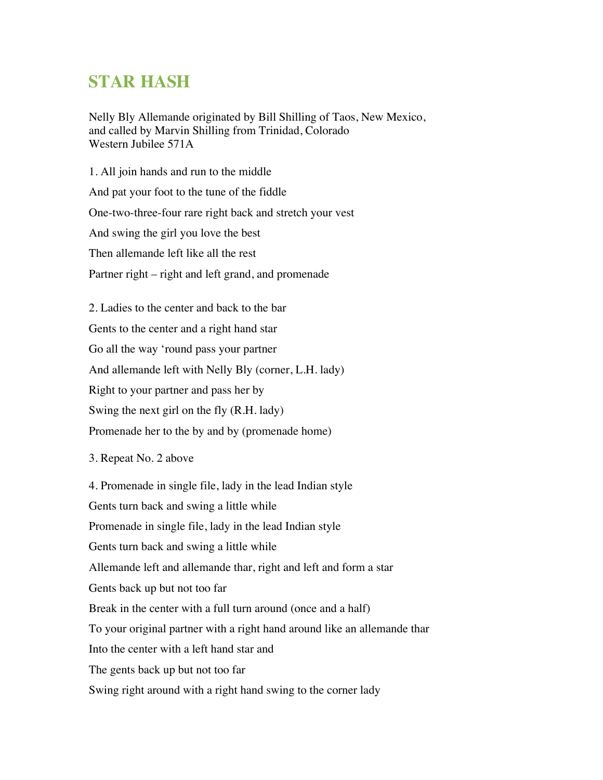## **STAR HASH**

Nelly Bly Allemande originated by Bill Shilling of Taos, New Mexico, and called by Marvin Shilling from Trinidad, Colorado Western Jubilee 571A

1. All join hands and run to the middle And pat your foot to the tune of the fiddle One-two-three-four rare right back and stretch your vest And swing the girl you love the best Then allemande left like all the rest Partner right – right and left grand, and promenade

2. Ladies to the center and back to the bar Gents to the center and a right hand star Go all the way 'round pass your partner And allemande left with Nelly Bly (corner, L.H. lady) Right to your partner and pass her by Swing the next girl on the fly (R.H. lady) Promenade her to the by and by (promenade home)

3. Repeat No. 2 above

4. Promenade in single file, lady in the lead Indian style Gents turn back and swing a little while Promenade in single file, lady in the lead Indian style Gents turn back and swing a little while Allemande left and allemande thar, right and left and form a star Gents back up but not too far Break in the center with a full turn around (once and a half) To your original partner with a right hand around like an allemande thar Into the center with a left hand star and The gents back up but not too far Swing right around with a right hand swing to the corner lady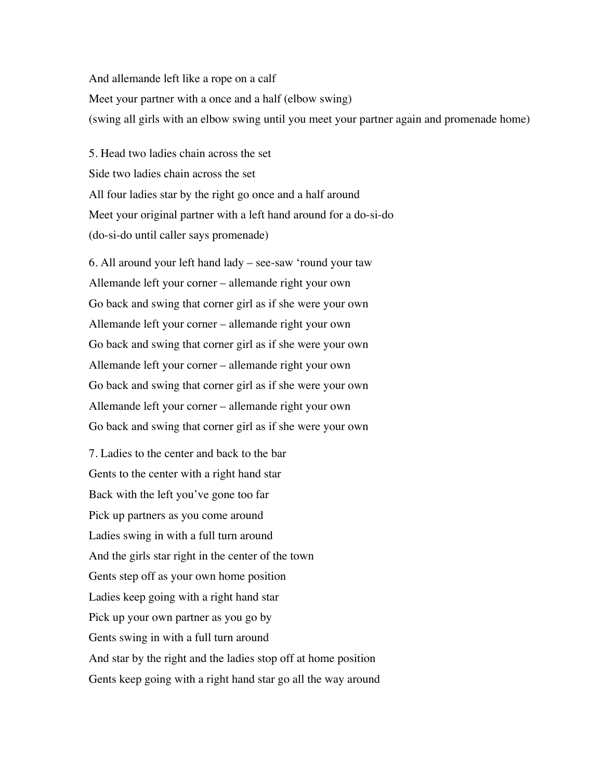And allemande left like a rope on a calf Meet your partner with a once and a half (elbow swing) (swing all girls with an elbow swing until you meet your partner again and promenade home)

5. Head two ladies chain across the set Side two ladies chain across the set All four ladies star by the right go once and a half around Meet your original partner with a left hand around for a do-si-do (do-si-do until caller says promenade)

6. All around your left hand lady – see-saw 'round your taw Allemande left your corner – allemande right your own Go back and swing that corner girl as if she were your own Allemande left your corner – allemande right your own Go back and swing that corner girl as if she were your own Allemande left your corner – allemande right your own Go back and swing that corner girl as if she were your own Allemande left your corner – allemande right your own Go back and swing that corner girl as if she were your own

7. Ladies to the center and back to the bar Gents to the center with a right hand star Back with the left you've gone too far Pick up partners as you come around Ladies swing in with a full turn around And the girls star right in the center of the town Gents step off as your own home position Ladies keep going with a right hand star Pick up your own partner as you go by Gents swing in with a full turn around And star by the right and the ladies stop off at home position Gents keep going with a right hand star go all the way around